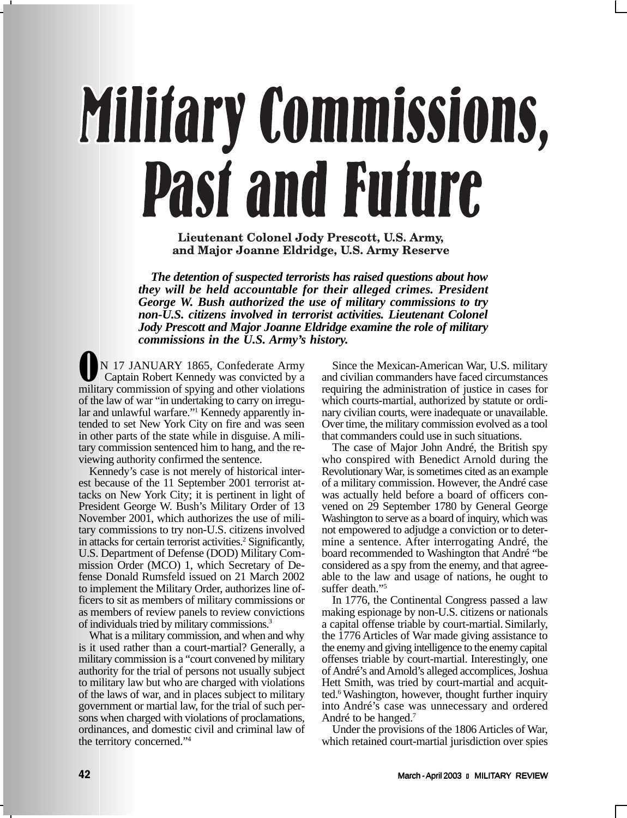# **Military Commissions, Past and Future**

Lieutenant Colonel Jody Prescott, U.S. Army, and Major Joanne Eldridge, U.S. Army Reserve

*The detention of suspected terrorists has raised questions about how they will be held accountable for their alleged crimes. President George W. Bush authorized the use of military commissions to try non-U.S. citizens involved in terrorist activities. Lieutenant Colonel Jody Prescott and Major Joanne Eldridge examine the role of military commissions in the U.S. Army's history.*

N 17 JANUARY 1865, Confederate Army Captain Robert Kennedy was convicted by a military commission of spying and other violations of the law of war "in undertaking to carry on irregular and unlawful warfare."<sup>1</sup> Kennedy apparently intended to set New York City on fire and was seen in other parts of the state while in disguise. A military commission sentenced him to hang, and the reviewing authority confirmed the sentence.

Kennedy's case is not merely of historical interest because of the 11 September 2001 terrorist attacks on New York City; it is pertinent in light of President George W. Bush's Military Order of 13 November 2001, which authorizes the use of military commissions to try non-U.S. citizens involved in attacks for certain terrorist activities.<sup>2</sup> Significantly, U.S. Department of Defense (DOD) Military Commission Order (MCO) 1, which Secretary of Defense Donald Rumsfeld issued on 21 March 2002 to implement the Military Order, authorizes line officers to sit as members of military commissions or as members of review panels to review convictions of individuals tried by military commissions.3

What is a military commission, and when and why is it used rather than a court-martial? Generally, a military commission is a "court convened by military authority for the trial of persons not usually subject to military law but who are charged with violations of the laws of war, and in places subject to military government or martial law, for the trial of such persons when charged with violations of proclamations, ordinances, and domestic civil and criminal law of the territory concerned."4

Since the Mexican-American War, U.S. military and civilian commanders have faced circumstances requiring the administration of justice in cases for which courts-martial, authorized by statute or ordinary civilian courts, were inadequate or unavailable. Over time, the military commission evolved as a tool that commanders could use in such situations.

The case of Major John André, the British spy who conspired with Benedict Arnold during the Revolutionary War, is sometimes cited as an example of a military commission. However, the André case was actually held before a board of officers convened on 29 September 1780 by General George Washington to serve as a board of inquiry, which was not empowered to adjudge a conviction or to determine a sentence. After interrogating André, the board recommended to Washington that André "be considered as a spy from the enemy, and that agreeable to the law and usage of nations, he ought to suffer death."<sup>5</sup>

In 1776, the Continental Congress passed a law making espionage by non-U.S. citizens or nationals a capital offense triable by court-martial.Similarly, the 1776 Articles of War made giving assistance to the enemy and giving intelligence to the enemy capital offenses triable by court-martial. Interestingly, one of André's and Arnold's alleged accomplices, Joshua Hett Smith, was tried by court-martial and acquitted.6 Washington, however, thought further inquiry into André's case was unnecessary and ordered André to be hanged.7

Under the provisions of the 1806 Articles of War, which retained court-martial jurisdiction over spies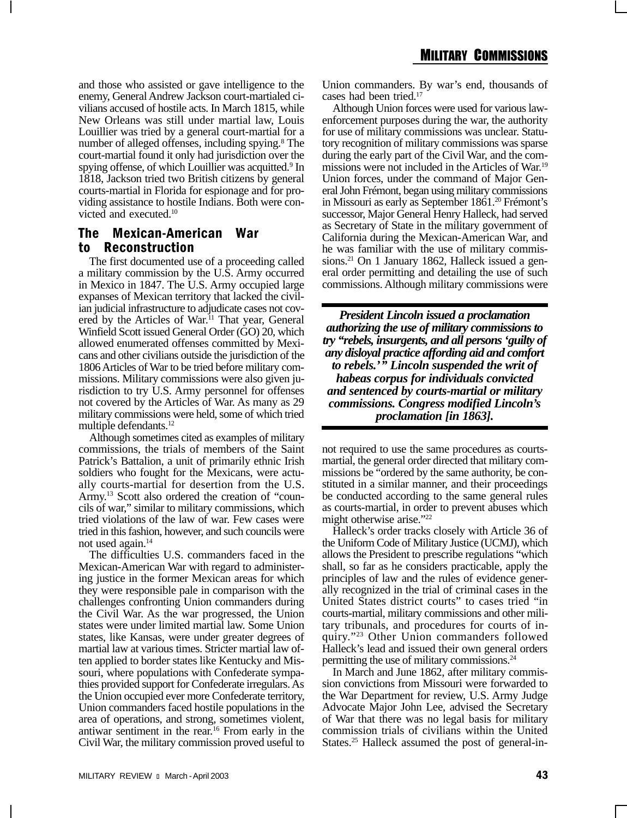and those who assisted or gave intelligence to the enemy, General Andrew Jackson court-martialed civilians accused of hostile acts. In March 1815, while New Orleans was still under martial law, Louis Louillier was tried by a general court-martial for a number of alleged offenses, including spying.<sup>8</sup> The court-martial found it only had jurisdiction over the spying offense, of which Louillier was acquitted.<sup>9</sup> In 1818, Jackson tried two British citizens by general courts-martial in Florida for espionage and for providing assistance to hostile Indians. Both were convicted and executed.10

### The Mexican-American War to Reconstruction

The first documented use of a proceeding called a military commission by the U.S. Army occurred in Mexico in 1847. The U.S. Army occupied large expanses of Mexican territory that lacked the civilian judicial infrastructure to adjudicate cases not covered by the Articles of War.<sup>11</sup> That year, General Winfield Scott issued General Order (GO) 20, which allowed enumerated offenses committed by Mexicans and other civilians outside the jurisdiction of the 1806 Articles of War to be tried before military commissions. Military commissions were also given jurisdiction to try U.S. Army personnel for offenses not covered by the Articles of War. As many as 29 military commissions were held, some of which tried multiple defendants.12

Although sometimes cited as examples of military commissions, the trials of members of the Saint Patrick's Battalion, a unit of primarily ethnic Irish soldiers who fought for the Mexicans, were actually courts-martial for desertion from the U.S. Army.13 Scott also ordered the creation of "councils of war," similar to military commissions, which tried violations of the law of war. Few cases were tried in this fashion, however, and such councils were not used again.<sup>14</sup>

The difficulties U.S. commanders faced in the Mexican-American War with regard to administering justice in the former Mexican areas for which they were responsible pale in comparison with the challenges confronting Union commanders during the Civil War. As the war progressed, the Union states were under limited martial law. Some Union states, like Kansas, were under greater degrees of martial law at various times. Stricter martial law often applied to border states like Kentucky and Missouri, where populations with Confederate sympathies provided support for Confederate irregulars. As the Union occupied ever more Confederate territory, Union commanders faced hostile populations in the area of operations, and strong, sometimes violent, antiwar sentiment in the rear.16 From early in the Civil War, the military commission proved useful to Union commanders. By war's end, thousands of cases had been tried.17

Although Union forces were used for various lawenforcement purposes during the war, the authority for use of military commissions was unclear. Statutory recognition of military commissions was sparse during the early part of the Civil War, and the commissions were not included in the Articles of War.19 Union forces, under the command of Major General John Frémont, began using military commissions in Missouri as early as September 1861.<sup>20</sup> Frémont's successor, Major General Henry Halleck, had served as Secretary of State in the military government of California during the Mexican-American War, and he was familiar with the use of military commissions.<sup>21</sup> On 1 January 1862, Halleck issued a general order permitting and detailing the use of such commissions. Although military commissions were

*President Lincoln issued a proclamation authorizing the use of military commissions to try "rebels, insurgents, and all persons 'guilty of any disloyal practice affording aid and comfort to rebels.'" Lincoln suspended the writ of habeas corpus for individuals convicted and sentenced by courts-martial or military commissions. Congress modified Lincoln's proclamation [in 1863].*

not required to use the same procedures as courtsmartial, the general order directed that military commissions be "ordered by the same authority, be constituted in a similar manner, and their proceedings be conducted according to the same general rules as courts-martial, in order to prevent abuses which might otherwise arise."22

Halleck's order tracks closely with Article 36 of the Uniform Code of Military Justice (UCMJ), which allows the President to prescribe regulations "which shall, so far as he considers practicable, apply the principles of law and the rules of evidence generally recognized in the trial of criminal cases in the United States district courts" to cases tried "in courts-martial, military commissions and other military tribunals, and procedures for courts of inquiry."23 Other Union commanders followed Halleck's lead and issued their own general orders permitting the use of military commissions.24

In March and June 1862, after military commission convictions from Missouri were forwarded to the War Department for review, U.S. Army Judge Advocate Major John Lee, advised the Secretary of War that there was no legal basis for military commission trials of civilians within the United States.<sup>25</sup> Halleck assumed the post of general-in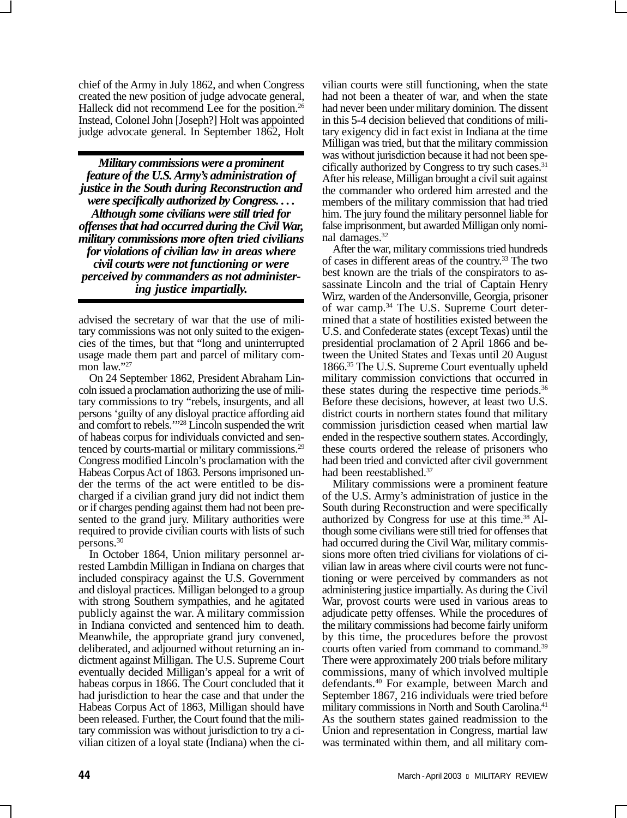chief of the Army in July 1862, and when Congress created the new position of judge advocate general, Halleck did not recommend Lee for the position.<sup>26</sup> Instead, Colonel John [Joseph?] Holt was appointed judge advocate general. In September 1862, Holt

*Military commissions were a prominent feature of the U.S. Army's administration of justice in the South during Reconstruction and were specifically authorized by Congress. . . . Although some civilians were still tried for offenses that had occurred during the Civil War, military commissions more often tried civilians for violations of civilian law in areas where civil courts were not functioning or were perceived by commanders as not administering justice impartially.*

advised the secretary of war that the use of military commissions was not only suited to the exigencies of the times, but that "long and uninterrupted usage made them part and parcel of military common law."27

On 24 September 1862, President Abraham Lincoln issued a proclamation authorizing the use of military commissions to try "rebels, insurgents, and all persons 'guilty of any disloyal practice affording aid and comfort to rebels.'"28 Lincoln suspended the writ of habeas corpus for individuals convicted and sentenced by courts-martial or military commissions.29 Congress modified Lincoln's proclamation with the Habeas Corpus Act of 1863. Persons imprisoned under the terms of the act were entitled to be discharged if a civilian grand jury did not indict them or if charges pending against them had not been presented to the grand jury. Military authorities were required to provide civilian courts with lists of such persons.30

In October 1864, Union military personnel arrested Lambdin Milligan in Indiana on charges that included conspiracy against the U.S. Government and disloyal practices. Milligan belonged to a group with strong Southern sympathies, and he agitated publicly against the war. A military commission in Indiana convicted and sentenced him to death. Meanwhile, the appropriate grand jury convened, deliberated, and adjourned without returning an indictment against Milligan. The U.S. Supreme Court eventually decided Milligan's appeal for a writ of habeas corpus in 1866. The Court concluded that it had jurisdiction to hear the case and that under the Habeas Corpus Act of 1863, Milligan should have been released. Further, the Court found that the military commission was without jurisdiction to try a civilian citizen of a loyal state (Indiana) when the civilian courts were still functioning, when the state had not been a theater of war, and when the state had never been under military dominion. The dissent in this 5-4 decision believed that conditions of military exigency did in fact exist in Indiana at the time Milligan was tried, but that the military commission was without jurisdiction because it had not been specifically authorized by Congress to try such cases.31 After his release, Milligan brought a civil suit against the commander who ordered him arrested and the members of the military commission that had tried him. The jury found the military personnel liable for false imprisonment, but awarded Milligan only nominal damages.32

After the war, military commissions tried hundreds of cases in different areas of the country.33 The two best known are the trials of the conspirators to assassinate Lincoln and the trial of Captain Henry Wirz, warden of the Andersonville, Georgia, prisoner of war camp.34 The U.S. Supreme Court determined that a state of hostilities existed between the U.S. and Confederate states (except Texas) until the presidential proclamation of 2 April 1866 and between the United States and Texas until 20 August 1866.35 The U.S. Supreme Court eventually upheld military commission convictions that occurred in these states during the respective time periods.<sup>36</sup> Before these decisions, however, at least two U.S. district courts in northern states found that military commission jurisdiction ceased when martial law ended in the respective southern states. Accordingly, these courts ordered the release of prisoners who had been tried and convicted after civil government had been reestablished.<sup>37</sup>

Military commissions were a prominent feature of the U.S. Army's administration of justice in the South during Reconstruction and were specifically authorized by Congress for use at this time.<sup>38</sup> Although some civilians were still tried for offenses that had occurred during the Civil War, military commissions more often tried civilians for violations of civilian law in areas where civil courts were not functioning or were perceived by commanders as not administering justice impartially. As during the Civil War, provost courts were used in various areas to adjudicate petty offenses. While the procedures of the military commissions had become fairly uniform by this time, the procedures before the provost courts often varied from command to command.<sup>39</sup> There were approximately 200 trials before military commissions, many of which involved multiple defendants.40 For example, between March and September 1867, 216 individuals were tried before military commissions in North and South Carolina.<sup>41</sup> As the southern states gained readmission to the Union and representation in Congress, martial law was terminated within them, and all military com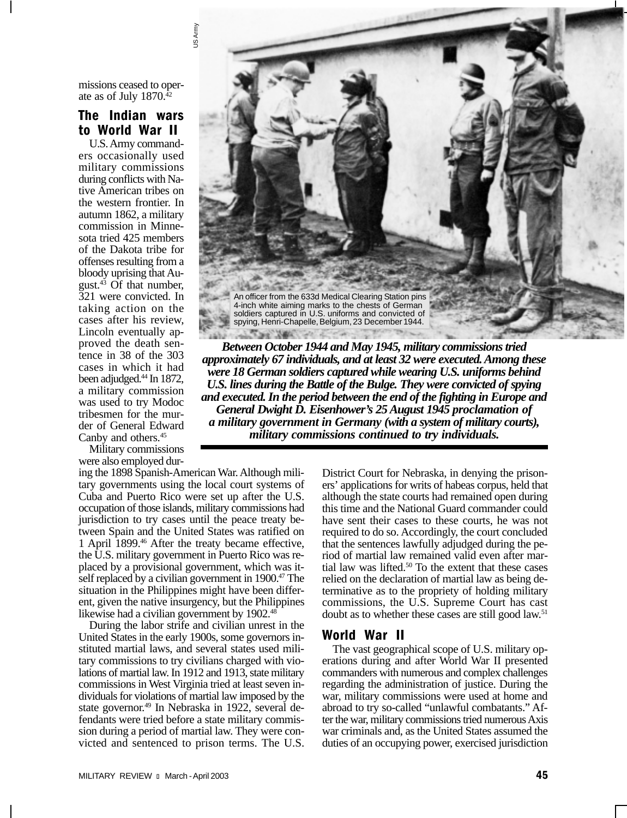missions ceased to operate as of July 1870.42

## The Indian wars to World War II

U.S. Army commanders occasionally used military commissions during conflicts with Native American tribes on the western frontier. In autumn 1862, a military commission in Minnesota tried 425 members of the Dakota tribe for offenses resulting from a bloody uprising that August. $43$  Of that number, 321 were convicted. In taking action on the cases after his review, Lincoln eventually approved the death sentence in 38 of the 303 cases in which it had been adjudged.44 In 1872, a military commission was used to try Modoc tribesmen for the murder of General Edward Canby and others.45

Military commissions were also employed durUS Army An officer from the 633d Medical Clearing Station pins 4-inch white aiming marks to the chests of German soldiers captured in U.S. uniforms and convicted of spying, Henri-Chapelle, Belgium, 23 December 1944.

*Between October 1944 and May 1945, military commissions tried approximately 67 individuals, and at least 32 were executed. Among these were 18 German soldiers captured while wearing U.S. uniforms behind U.S. lines during the Battle of the Bulge. They were convicted of spying and executed. In the period between the end of the fighting in Europe and General Dwight D. Eisenhower's 25 August 1945 proclamation of a military government in Germany (with a system of military courts), military commissions continued to try individuals.*

ing the 1898 Spanish-American War. Although military governments using the local court systems of Cuba and Puerto Rico were set up after the U.S. occupation of those islands, military commissions had jurisdiction to try cases until the peace treaty between Spain and the United States was ratified on 1 April 1899.46 After the treaty became effective, the U.S. military government in Puerto Rico was replaced by a provisional government, which was itself replaced by a civilian government in 1900.<sup>47</sup> The situation in the Philippines might have been different, given the native insurgency, but the Philippines likewise had a civilian government by 1902.48

During the labor strife and civilian unrest in the United States in the early 1900s, some governors instituted martial laws, and several states used military commissions to try civilians charged with violations of martial law. In 1912 and 1913, state military commissions in West Virginia tried at least seven individuals for violations of martial law imposed by the state governor.<sup>49</sup> In Nebraska in 1922, several defendants were tried before a state military commission during a period of martial law. They were convicted and sentenced to prison terms. The U.S. District Court for Nebraska, in denying the prisoners' applications for writs of habeas corpus, held that although the state courts had remained open during this time and the National Guard commander could have sent their cases to these courts, he was not required to do so. Accordingly, the court concluded that the sentences lawfully adjudged during the period of martial law remained valid even after martial law was lifted.50 To the extent that these cases relied on the declaration of martial law as being determinative as to the propriety of holding military commissions, the U.S. Supreme Court has cast doubt as to whether these cases are still good law.51

#### World War II

The vast geographical scope of U.S. military operations during and after World War II presented commanders with numerous and complex challenges regarding the administration of justice. During the war, military commissions were used at home and abroad to try so-called "unlawful combatants." After the war, military commissions tried numerous Axis war criminals and, as the United States assumed the duties of an occupying power, exercised jurisdiction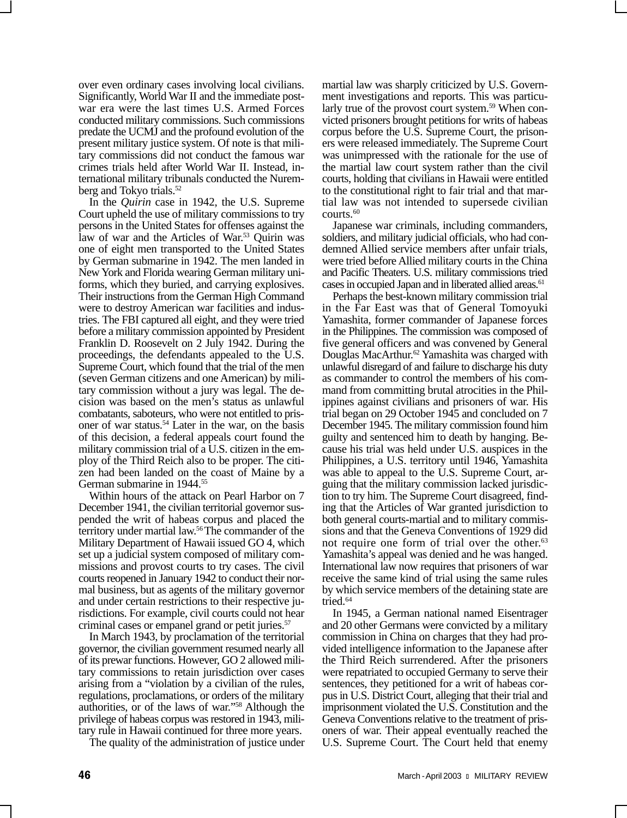over even ordinary cases involving local civilians. Significantly, World War II and the immediate postwar era were the last times U.S. Armed Forces conducted military commissions. Such commissions predate the UCMJ and the profound evolution of the present military justice system. Of note is that military commissions did not conduct the famous war crimes trials held after World War II. Instead, international military tribunals conducted the Nuremberg and Tokyo trials.<sup>52</sup>

In the *Quirin* case in 1942, the U.S. Supreme Court upheld the use of military commissions to try persons in the United States for offenses against the law of war and the Articles of War.<sup>53</sup> Quirin was one of eight men transported to the United States by German submarine in 1942. The men landed in New York and Florida wearing German military uniforms, which they buried, and carrying explosives. Their instructions from the German High Command were to destroy American war facilities and industries. The FBI captured all eight, and they were tried before a military commission appointed by President Franklin D. Roosevelt on 2 July 1942. During the proceedings, the defendants appealed to the U.S. Supreme Court, which found that the trial of the men (seven German citizens and one American) by military commission without a jury was legal. The decision was based on the men's status as unlawful combatants, saboteurs, who were not entitled to prisoner of war status.54 Later in the war, on the basis of this decision, a federal appeals court found the military commission trial of a U.S. citizen in the employ of the Third Reich also to be proper. The citizen had been landed on the coast of Maine by a German submarine in 1944.55

Within hours of the attack on Pearl Harbor on 7 December 1941, the civilian territorial governor suspended the writ of habeas corpus and placed the territory under martial law.56 The commander of the Military Department of Hawaii issued GO 4, which set up a judicial system composed of military commissions and provost courts to try cases. The civil courts reopened in January 1942 to conduct their normal business, but as agents of the military governor and under certain restrictions to their respective jurisdictions. For example, civil courts could not hear criminal cases or empanel grand or petit juries.57

In March 1943, by proclamation of the territorial governor, the civilian government resumed nearly all of its prewar functions. However, GO 2 allowed military commissions to retain jurisdiction over cases arising from a "violation by a civilian of the rules, regulations, proclamations, or orders of the military authorities, or of the laws of war."58 Although the privilege of habeas corpus was restored in 1943, military rule in Hawaii continued for three more years.

The quality of the administration of justice under

martial law was sharply criticized by U.S. Government investigations and reports. This was particularly true of the provost court system.<sup>59</sup> When convicted prisoners brought petitions for writs of habeas corpus before the U.S. Supreme Court, the prisoners were released immediately. The Supreme Court was unimpressed with the rationale for the use of the martial law court system rather than the civil courts, holding that civilians in Hawaii were entitled to the constitutional right to fair trial and that martial law was not intended to supersede civilian courts.<sup>60</sup>

Japanese war criminals, including commanders, soldiers, and military judicial officials, who had condemned Allied service members after unfair trials, were tried before Allied military courts in the China and Pacific Theaters. U.S. military commissions tried cases in occupied Japan and in liberated allied areas.<sup>61</sup>

Perhaps the best-known military commission trial in the Far East was that of General Tomoyuki Yamashita, former commander of Japanese forces in the Philippines. The commission was composed of five general officers and was convened by General Douglas MacArthur.<sup>62</sup> Yamashita was charged with unlawful disregard of and failure to discharge his duty as commander to control the members of his command from committing brutal atrocities in the Philippines against civilians and prisoners of war. His trial began on 29 October 1945 and concluded on 7 December 1945. The military commission found him guilty and sentenced him to death by hanging. Because his trial was held under U.S. auspices in the Philippines, a U.S. territory until 1946, Yamashita was able to appeal to the U.S. Supreme Court, arguing that the military commission lacked jurisdiction to try him. The Supreme Court disagreed, finding that the Articles of War granted jurisdiction to both general courts-martial and to military commissions and that the Geneva Conventions of 1929 did not require one form of trial over the other.<sup>63</sup> Yamashita's appeal was denied and he was hanged. International law now requires that prisoners of war receive the same kind of trial using the same rules by which service members of the detaining state are tried.<sup>64</sup>

In 1945, a German national named Eisentrager and 20 other Germans were convicted by a military commission in China on charges that they had provided intelligence information to the Japanese after the Third Reich surrendered. After the prisoners were repatriated to occupied Germany to serve their sentences, they petitioned for a writ of habeas corpus in U.S. District Court, alleging that their trial and imprisonment violated the U.S. Constitution and the Geneva Conventions relative to the treatment of prisoners of war. Their appeal eventually reached the U.S. Supreme Court. The Court held that enemy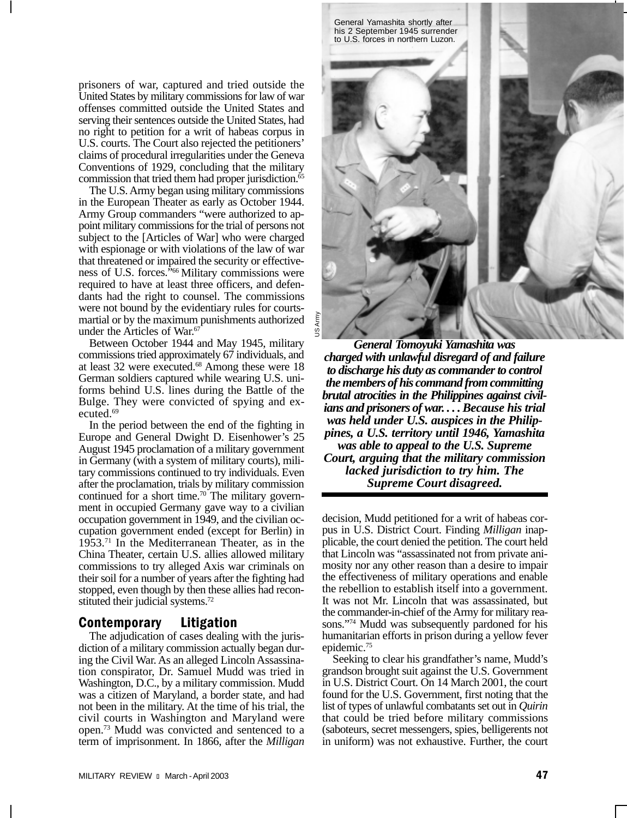prisoners of war, captured and tried outside the United States by military commissions for law of war offenses committed outside the United States and serving their sentences outside the United States, had no right to petition for a writ of habeas corpus in U.S. courts. The Court also rejected the petitioners' claims of procedural irregularities under the Geneva Conventions of 1929, concluding that the military commission that tried them had proper jurisdiction.<sup>65</sup>

The U.S. Army began using military commissions in the European Theater as early as October 1944. Army Group commanders "were authorized to appoint military commissions for the trial of persons not subject to the [Articles of War] who were charged with espionage or with violations of the law of war that threatened or impaired the security or effectiveness of U.S. forces.<sup>566</sup> Military commissions were required to have at least three officers, and defendants had the right to counsel. The commissions were not bound by the evidentiary rules for courtsmartial or by the maximum punishments authorized under the Articles of War.<sup>67</sup>

Between October 1944 and May 1945, military commissions tried approximately 67 individuals, and at least 32 were executed.68 Among these were 18 German soldiers captured while wearing U.S. uniforms behind U.S. lines during the Battle of the Bulge. They were convicted of spying and executed.<sup>69</sup>

In the period between the end of the fighting in Europe and General Dwight D. Eisenhower's 25 August 1945 proclamation of a military government in Germany (with a system of military courts), military commissions continued to try individuals. Even after the proclamation, trials by military commission continued for a short time.<sup>70</sup> The military government in occupied Germany gave way to a civilian occupation government in 1949, and the civilian occupation government ended (except for Berlin) in 1953.71 In the Mediterranean Theater, as in the China Theater, certain U.S. allies allowed military commissions to try alleged Axis war criminals on their soil for a number of years after the fighting had stopped, even though by then these allies had reconstituted their judicial systems.<sup>72</sup>

#### Contemporary Litigation

The adjudication of cases dealing with the jurisdiction of a military commission actually began during the Civil War. As an alleged Lincoln Assassination conspirator, Dr. Samuel Mudd was tried in Washington, D.C., by a military commission. Mudd was a citizen of Maryland, a border state, and had not been in the military. At the time of his trial, the civil courts in Washington and Maryland were open.73 Mudd was convicted and sentenced to a term of imprisonment. In 1866, after the *Milligan*



*General Tomoyuki Yamashita was charged with unlawful disregard of and failure to discharge his duty as commander to control the members of his command from committing brutal atrocities in the Philippines against civilians and prisoners of war. . . . Because his trial was held under U.S. auspices in the Philippines, a U.S. territory until 1946, Yamashita was able to appeal to the U.S. Supreme Court, arguing that the military commission lacked jurisdiction to try him. The Supreme Court disagreed.*

decision, Mudd petitioned for a writ of habeas corpus in U.S. District Court. Finding *Milligan* inapplicable, the court denied the petition. The court held that Lincoln was "assassinated not from private animosity nor any other reason than a desire to impair the effectiveness of military operations and enable the rebellion to establish itself into a government. It was not Mr. Lincoln that was assassinated, but the commander-in-chief of the Army for military reasons."74 Mudd was subsequently pardoned for his humanitarian efforts in prison during a yellow fever epidemic.75

Seeking to clear his grandfather's name, Mudd's grandson brought suit against the U.S. Government in U.S. District Court. On 14 March 2001, the court found for the U.S. Government, first noting that the list of types of unlawful combatants set out in *Quirin* that could be tried before military commissions (saboteurs, secret messengers, spies, belligerents not in uniform) was not exhaustive. Further, the court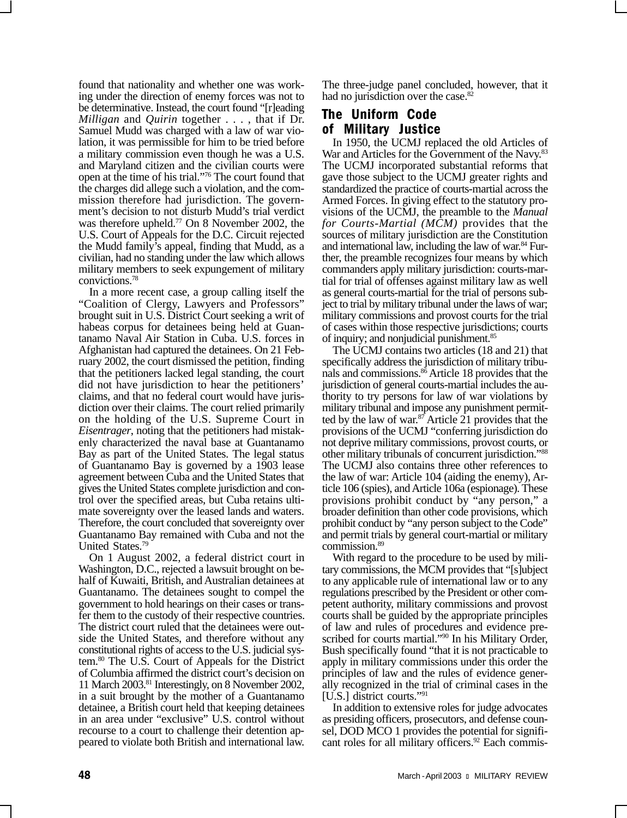found that nationality and whether one was working under the direction of enemy forces was not to be determinative. Instead, the court found "[r]eading *Milligan* and *Quirin* together . . . , that if Dr. Samuel Mudd was charged with a law of war violation, it was permissible for him to be tried before a military commission even though he was a U.S. and Maryland citizen and the civilian courts were open at the time of his trial."76 The court found that the charges did allege such a violation, and the commission therefore had jurisdiction. The government's decision to not disturb Mudd's trial verdict was therefore upheld.<sup>77</sup> On 8 November 2002, the U.S. Court of Appeals for the D.C. Circuit rejected the Mudd family's appeal, finding that Mudd, as a civilian, had no standing under the law which allows military members to seek expungement of military convictions.78

In a more recent case, a group calling itself the "Coalition of Clergy, Lawyers and Professors" brought suit in U.S. District Court seeking a writ of habeas corpus for detainees being held at Guantanamo Naval Air Station in Cuba. U.S. forces in Afghanistan had captured the detainees. On 21 February 2002, the court dismissed the petition, finding that the petitioners lacked legal standing, the court did not have jurisdiction to hear the petitioners' claims, and that no federal court would have jurisdiction over their claims. The court relied primarily on the holding of the U.S. Supreme Court in *Eisentrager*, noting that the petitioners had mistakenly characterized the naval base at Guantanamo Bay as part of the United States. The legal status of Guantanamo Bay is governed by a 1903 lease agreement between Cuba and the United States that gives the United States complete jurisdiction and control over the specified areas, but Cuba retains ultimate sovereignty over the leased lands and waters. Therefore, the court concluded that sovereignty over Guantanamo Bay remained with Cuba and not the United States.79

On 1 August 2002, a federal district court in Washington, D.C., rejected a lawsuit brought on behalf of Kuwaiti, British, and Australian detainees at Guantanamo. The detainees sought to compel the government to hold hearings on their cases or transfer them to the custody of their respective countries. The district court ruled that the detainees were outside the United States, and therefore without any constitutional rights of access to the U.S. judicial system.80 The U.S. Court of Appeals for the District of Columbia affirmed the district court's decision on 11 March 2003.81 Interestingly, on 8 November 2002, in a suit brought by the mother of a Guantanamo detainee, a British court held that keeping detainees in an area under "exclusive" U.S. control without recourse to a court to challenge their detention appeared to violate both British and international law.

The three-judge panel concluded, however, that it had no jurisdiction over the case.<sup>82</sup>

# The Uniform Code of Military Justice

In 1950, the UCMJ replaced the old Articles of War and Articles for the Government of the Navy.<sup>83</sup> The UCMJ incorporated substantial reforms that gave those subject to the UCMJ greater rights and standardized the practice of courts-martial across the Armed Forces. In giving effect to the statutory provisions of the UCMJ, the preamble to the *Manual for Courts-Martial (MCM)* provides that the sources of military jurisdiction are the Constitution and international law, including the law of war.<sup>84</sup> Further, the preamble recognizes four means by which commanders apply military jurisdiction: courts-martial for trial of offenses against military law as well as general courts-martial for the trial of persons subject to trial by military tribunal under the laws of war; military commissions and provost courts for the trial of cases within those respective jurisdictions; courts of inquiry; and nonjudicial punishment.85

The UCMJ contains two articles (18 and 21) that specifically address the jurisdiction of military tribunals and commissions.86 Article 18 provides that the jurisdiction of general courts-martial includes the authority to try persons for law of war violations by military tribunal and impose any punishment permitted by the law of war.<sup>87</sup> Article 21 provides that the provisions of the UCMJ "conferring jurisdiction do not deprive military commissions, provost courts, or other military tribunals of concurrent jurisdiction."88 The UCMJ also contains three other references to the law of war: Article 104 (aiding the enemy), Article 106 (spies), and Article 106a (espionage). These provisions prohibit conduct by "any person," a broader definition than other code provisions, which prohibit conduct by "any person subject to the Code" and permit trials by general court-martial or military commission.89

With regard to the procedure to be used by military commissions, the MCM provides that "[s]ubject to any applicable rule of international law or to any regulations prescribed by the President or other competent authority, military commissions and provost courts shall be guided by the appropriate principles of law and rules of procedures and evidence prescribed for courts martial."<sup>90</sup> In his Military Order, Bush specifically found "that it is not practicable to apply in military commissions under this order the principles of law and the rules of evidence generally recognized in the trial of criminal cases in the [U.S.] district courts."91

In addition to extensive roles for judge advocates as presiding officers, prosecutors, and defense counsel, DOD MCO 1 provides the potential for significant roles for all military officers.<sup>92</sup> Each commis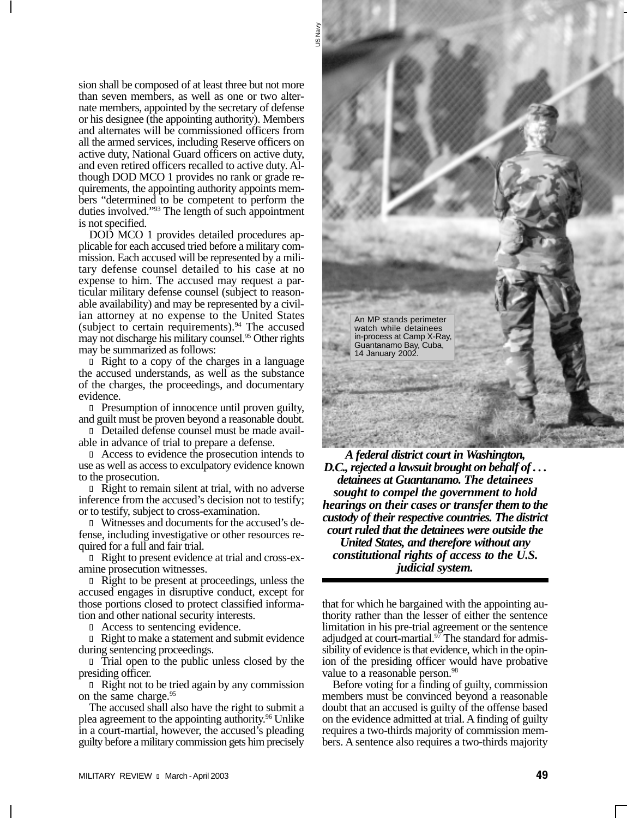sion shall be composed of at least three but not more than seven members, as well as one or two alternate members, appointed by the secretary of defense or his designee (the appointing authority). Members and alternates will be commissioned officers from all the armed services, including Reserve officers on active duty, National Guard officers on active duty, and even retired officers recalled to active duty. Although DOD MCO 1 provides no rank or grade requirements, the appointing authority appoints members "determined to be competent to perform the duties involved."93 The length of such appointment is not specified.

DOD MCO 1 provides detailed procedures applicable for each accused tried before a military commission. Each accused will be represented by a military defense counsel detailed to his case at no expense to him. The accused may request a particular military defense counsel (subject to reasonable availability) and may be represented by a civilian attorney at no expense to the United States (subject to certain requirements).<sup>94</sup> The accused may not discharge his military counsel.95 Other rights may be summarized as follows:

l Right to a copy of the charges in a language the accused understands, as well as the substance of the charges, the proceedings, and documentary evidence.

l Presumption of innocence until proven guilty, and guilt must be proven beyond a reasonable doubt.

l Detailed defense counsel must be made available in advance of trial to prepare a defense.

l Access to evidence the prosecution intends to use as well as access to exculpatory evidence known to the prosecution.

l Right to remain silent at trial, with no adverse inference from the accused's decision not to testify; or to testify, subject to cross-examination.

l Witnesses and documents for the accused's defense, including investigative or other resources required for a full and fair trial.

l Right to present evidence at trial and cross-examine prosecution witnesses.

l Right to be present at proceedings, unless the accused engages in disruptive conduct, except for those portions closed to protect classified information and other national security interests.

l Access to sentencing evidence.

l Right to make a statement and submit evidence during sentencing proceedings.

l Trial open to the public unless closed by the presiding officer.

l Right not to be tried again by any commission on the same charge.<sup>95</sup>

The accused shall also have the right to submit a plea agreement to the appointing authority.<sup>96</sup> Unlike in a court-martial, however, the accused's pleading guilty before a military commission gets him precisely



*A federal district court in Washington, D.C., rejected a lawsuit brought on behalf of . . . detainees at Guantanamo. The detainees sought to compel the government to hold hearings on their cases or transfer them to the custody of their respective countries. The district court ruled that the detainees were outside the United States, and therefore without any constitutional rights of access to the U.S. judicial system.*

that for which he bargained with the appointing authority rather than the lesser of either the sentence limitation in his pre-trial agreement or the sentence adjudged at court-martial.<sup>97</sup> The standard for admissibility of evidence is that evidence, which in the opinion of the presiding officer would have probative value to a reasonable person.<sup>98</sup>

Before voting for a finding of guilty, commission members must be convinced beyond a reasonable doubt that an accused is guilty of the offense based on the evidence admitted at trial. A finding of guilty requires a two-thirds majority of commission members. A sentence also requires a two-thirds majority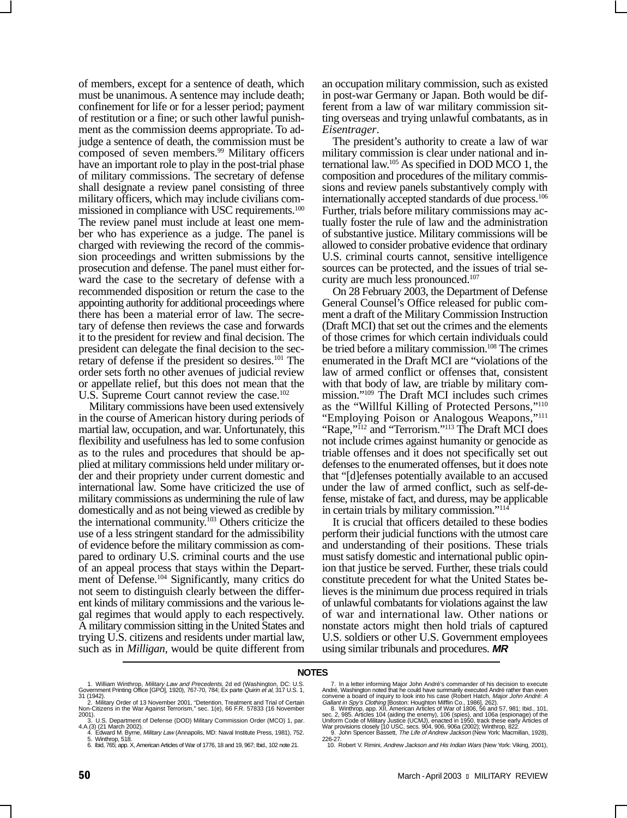of members, except for a sentence of death, which must be unanimous. A sentence may include death; confinement for life or for a lesser period; payment of restitution or a fine; or such other lawful punishment as the commission deems appropriate. To adjudge a sentence of death, the commission must be composed of seven members.<sup>99</sup> Military officers have an important role to play in the post-trial phase of military commissions. The secretary of defense shall designate a review panel consisting of three military officers, which may include civilians commissioned in compliance with USC requirements.<sup>100</sup> The review panel must include at least one member who has experience as a judge. The panel is charged with reviewing the record of the commission proceedings and written submissions by the prosecution and defense. The panel must either forward the case to the secretary of defense with a recommended disposition or return the case to the appointing authority for additional proceedings where there has been a material error of law. The secretary of defense then reviews the case and forwards it to the president for review and final decision. The president can delegate the final decision to the secretary of defense if the president so desires.<sup>101</sup> The order sets forth no other avenues of judicial review or appellate relief, but this does not mean that the U.S. Supreme Court cannot review the case.<sup>102</sup>

Military commissions have been used extensively in the course of American history during periods of martial law, occupation, and war. Unfortunately, this flexibility and usefulness has led to some confusion as to the rules and procedures that should be applied at military commissions held under military order and their propriety under current domestic and international law. Some have criticized the use of military commissions as undermining the rule of law domestically and as not being viewed as credible by the international community.103 Others criticize the use of a less stringent standard for the admissibility of evidence before the military commission as compared to ordinary U.S. criminal courts and the use of an appeal process that stays within the Department of Defense.<sup>104</sup> Significantly, many critics do not seem to distinguish clearly between the different kinds of military commissions and the various legal regimes that would apply to each respectively. A military commission sitting in the United States and trying U.S. citizens and residents under martial law, such as in *Milligan,* would be quite different from an occupation military commission, such as existed in post-war Germany or Japan. Both would be different from a law of war military commission sitting overseas and trying unlawful combatants, as in *Eisentrager*.

The president's authority to create a law of war military commission is clear under national and international law.105 As specified in DOD MCO 1, the composition and procedures of the military commissions and review panels substantively comply with internationally accepted standards of due process.<sup>106</sup> Further, trials before military commissions may actually foster the rule of law and the administration of substantive justice. Military commissions will be allowed to consider probative evidence that ordinary U.S. criminal courts cannot, sensitive intelligence sources can be protected, and the issues of trial security are much less pronounced.107

On 28 February 2003, the Department of Defense General Counsel's Office released for public comment a draft of the Military Commission Instruction (Draft MCI) that set out the crimes and the elements of those crimes for which certain individuals could be tried before a military commission.<sup>108</sup> The crimes enumerated in the Draft MCI are "violations of the law of armed conflict or offenses that, consistent with that body of law, are triable by military commission."109 The Draft MCI includes such crimes as the "Willful Killing of Protected Persons,"110 "Employing Poison or Analogous Weapons,"111 "Rape,"<sup>112</sup> and "Terrorism."<sup>113</sup> The Draft MCI does not include crimes against humanity or genocide as triable offenses and it does not specifically set out defenses to the enumerated offenses, but it does note that "[d]efenses potentially available to an accused under the law of armed conflict, such as self-defense, mistake of fact, and duress, may be applicable in certain trials by military commission."114

It is crucial that officers detailed to these bodies perform their judicial functions with the utmost care and understanding of their positions. These trials must satisfy domestic and international public opinion that justice be served. Further, these trials could constitute precedent for what the United States believes is the minimum due process required in trials of unlawful combatants for violations against the law of war and international law. Other nations or nonstate actors might then hold trials of captured U.S. soldiers or other U.S. Government employees using similar tribunals and procedures. **MR**

#### **NOTES**

- 1. William Winthrop, Military Law and Precedents, 2d ed (Washington, DC: U.S.<br>Government Printing Office [GPO], 1920), 767-70, 784; Ex parte Quirin et al, 317 U.S. 1, 31 (1942).
- 2. Military Order of 13 November 2001, "Detention, Treatment and Trial of Certain Non-Citizens in the War Against Terrorism," sec. 1(e), 66 F.R. 57833 (16 November 2001).
- 3. U.S. Department of Defense (DOD) Military Commission Order (MCO) 1, par.
- 4.A.(3) (21 March 2002). 4. Edward M. Byrne, Military Law (Annapolis, MD: Naval Institute Press, 1981), 752.
- 5. Winthrop, 518. 6. Ibid, 765; app. X, American Articles of War of 1776, 18 and 19, 967; Ibid., 102 note 21.

<sup>7.</sup> In a letter informing Major John André's commander of his decision to execute<br>André, Washington noted that he could have summarily executed André rather than even<br>convene a board of inquiry to look into his case (Robert 226-27.

<sup>10.</sup> Robert V. Rimini, Andrew Jackson and His Indian Wars (New York: Viking, 2001),